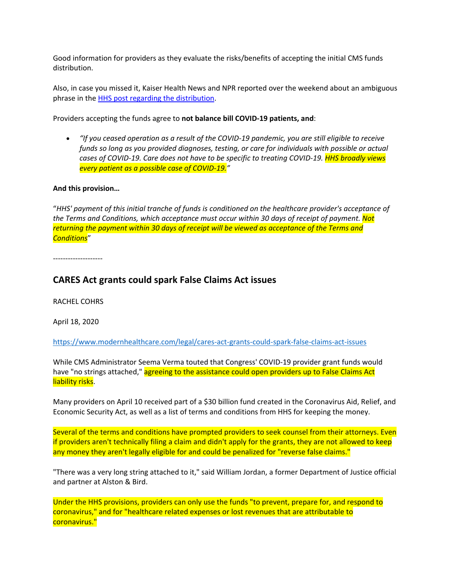Good information for providers as they evaluate the risks/benefits of accepting the initial CMS funds distribution.

Also, in case you missed it, Kaiser Health News and NPR reported over the weekend about an ambiguous phrase in the HHS post regarding the distribution.

Providers accepting the funds agree to **not balance bill COVID‐19 patients, and**:

• "If you ceased operation as a result of the COVID-19 pandemic, you are still eligible to receive *funds so long as you provided diagnoses, testing, or care for individuals with possible or actual* cases of COVID-19. Care does not have to be specific to treating COVID-19. HHS broadly views *every patient as a possible case of COVID‐19."*

## **And this provision…**

"*HHS' payment of this initial tranche of funds is conditioned on the healthcare provider's acceptance of the Terms and Conditions, which acceptance must occur within 30 days of receipt of payment. Not returning the payment within 30 days of receipt will be viewed as acceptance of the Terms and Conditions*"

‐‐‐‐‐‐‐‐‐‐‐‐‐‐‐‐‐‐‐‐

## **CARES Act grants could spark False Claims Act issues**

RACHEL COHRS

April 18, 2020

https://www.modernhealthcare.com/legal/cares‐act‐grants‐could‐spark‐false‐claims‐act‐issues

While CMS Administrator Seema Verma touted that Congress' COVID‐19 provider grant funds would have "no strings attached," agreeing to the assistance could open providers up to False Claims Act liability risks.

Many providers on April 10 received part of a \$30 billion fund created in the Coronavirus Aid, Relief, and Economic Security Act, as well as a list of terms and conditions from HHS for keeping the money.

Several of the terms and conditions have prompted providers to seek counsel from their attorneys. Even if providers aren't technically filing a claim and didn't apply for the grants, they are not allowed to keep any money they aren't legally eligible for and could be penalized for "reverse false claims."

"There was a very long string attached to it," said William Jordan, a former Department of Justice official and partner at Alston & Bird.

Under the HHS provisions, providers can only use the funds "to prevent, prepare for, and respond to coronavirus," and for "healthcare related expenses or lost revenues that are attributable to coronavirus."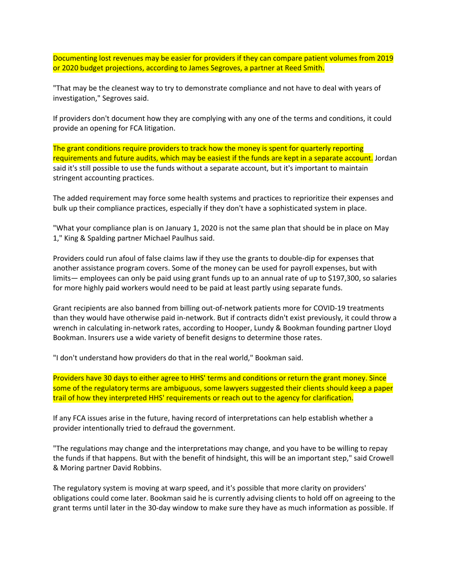Documenting lost revenues may be easier for providers if they can compare patient volumes from 2019 or 2020 budget projections, according to James Segroves, a partner at Reed Smith.

"That may be the cleanest way to try to demonstrate compliance and not have to deal with years of investigation," Segroves said.

If providers don't document how they are complying with any one of the terms and conditions, it could provide an opening for FCA litigation.

The grant conditions require providers to track how the money is spent for quarterly reporting requirements and future audits, which may be easiest if the funds are kept in a separate account. Jordan said it's still possible to use the funds without a separate account, but it's important to maintain stringent accounting practices.

The added requirement may force some health systems and practices to reprioritize their expenses and bulk up their compliance practices, especially if they don't have a sophisticated system in place.

"What your compliance plan is on January 1, 2020 is not the same plan that should be in place on May 1," King & Spalding partner Michael Paulhus said.

Providers could run afoul of false claims law if they use the grants to double‐dip for expenses that another assistance program covers. Some of the money can be used for payroll expenses, but with limits— employees can only be paid using grant funds up to an annual rate of up to \$197,300, so salaries for more highly paid workers would need to be paid at least partly using separate funds.

Grant recipients are also banned from billing out‐of‐network patients more for COVID‐19 treatments than they would have otherwise paid in‐network. But if contracts didn't exist previously, it could throw a wrench in calculating in-network rates, according to Hooper, Lundy & Bookman founding partner Lloyd Bookman. Insurers use a wide variety of benefit designs to determine those rates.

"I don't understand how providers do that in the real world," Bookman said.

Providers have 30 days to either agree to HHS' terms and conditions or return the grant money. Since some of the regulatory terms are ambiguous, some lawyers suggested their clients should keep a paper trail of how they interpreted HHS' requirements or reach out to the agency for clarification.

If any FCA issues arise in the future, having record of interpretations can help establish whether a provider intentionally tried to defraud the government.

"The regulations may change and the interpretations may change, and you have to be willing to repay the funds if that happens. But with the benefit of hindsight, this will be an important step," said Crowell & Moring partner David Robbins.

The regulatory system is moving at warp speed, and it's possible that more clarity on providers' obligations could come later. Bookman said he is currently advising clients to hold off on agreeing to the grant terms until later in the 30‐day window to make sure they have as much information as possible. If